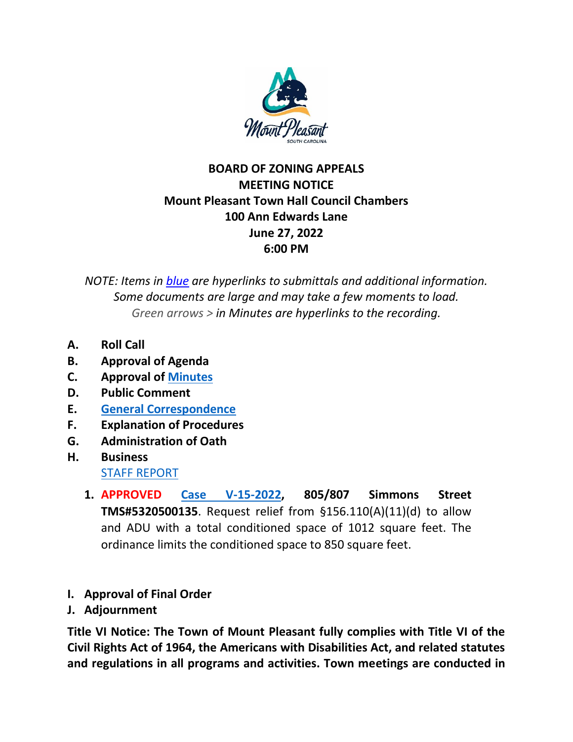

## **BOARD OF ZONING APPEALS MEETING NOTICE Mount Pleasant Town Hall Council Chambers 100 Ann Edwards Lane June 27, 2022 6:00 PM**

*NOTE: Items in blue are hyperlinks to submittals and additional information. Some documents are large and may take a few moments to load. Green arrows > in Minutes are hyperlinks to the recording.*

- **A. Roll Call**
- **B. Approval of Agenda**
- **C. Approval of [Minutes](https://www.tompsc.com/AgendaCenter/ViewFile/Minutes/_05232022-1213)**
- **D. Public Comment**
- **E. [General Correspondence](https://www.tompsc.com/DocumentCenter/View/42040/Combined-Correspondance-62722)**
- **F. Explanation of Procedures**
- **G. Administration of Oath**
- **H. Business** [STAFF REPORT](https://www.tompsc.com/DocumentCenter/View/41937/BOZA-Staff-Report-6272022)
	- **1. APPROVED [Case V-15-2022,](https://www.tompsc.com/DocumentCenter/View/41919/V-15-22-805-807-Simmons-Street-5320500135-62722) 805/807 Simmons Street TMS#5320500135**. Request relief from §156.110(A)(11)(d) to allow and ADU with a total conditioned space of 1012 square feet. The ordinance limits the conditioned space to 850 square feet.
- **I. Approval of Final Order**
- **J. Adjournment**

**Title VI Notice: The Town of Mount Pleasant fully complies with Title VI of the Civil Rights Act of 1964, the Americans with Disabilities Act, and related statutes and regulations in all programs and activities. Town meetings are conducted in**